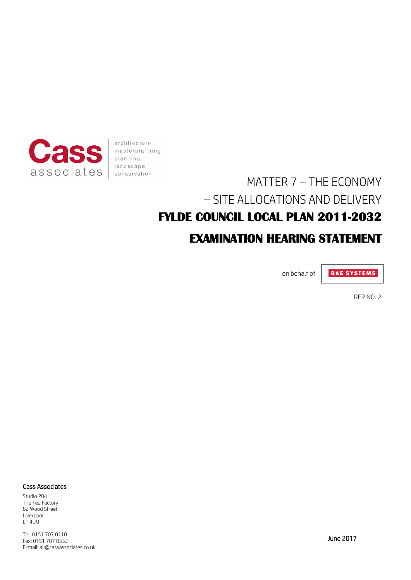

architecture masterplanning planning landscape conservation

# MATTER 7 – THE ECONOMY – SITE ALLOCATIONS AND DELIVERY **FYLDE COUNCIL LOCAL PLAN 2011-2032 EXAMINATION HEARING STATEMENT**

on behalf of

**BAE SYSTEMS** 

REP NO. 2

#### Cass Associates

Studio 204 The Tea Factory 82 Wood Street Liverpool L1 4DQ

Tel: 0151 707 0110 Fax: 0151 707 0332 E-mail: all@cassassociates.co.uk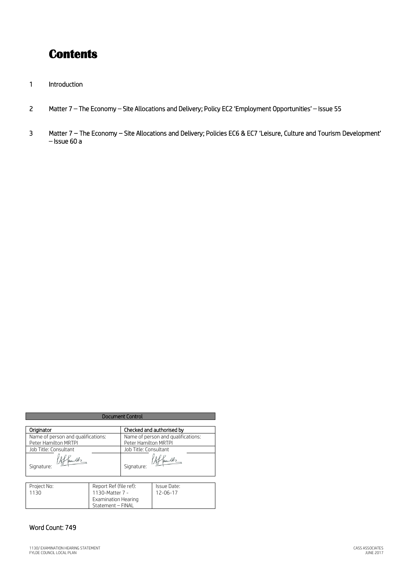## **Contents**

- 1 Introduction
- 2 Matter 7 The Economy Site Allocations and Delivery; Policy EC2 'Employment Opportunities' Issue 55
- 3 Matter 7 The Economy Site Allocations and Delivery; Policies EC6 & EC7 'Leisure, Culture and Tourism Development' – Issue 60 a

| <b>Document Control</b>            |                                    |  |
|------------------------------------|------------------------------------|--|
|                                    |                                    |  |
| Name of person and qualifications: | Name of person and qualifications: |  |
| Peter Hamilton MRTPI               | Peter Hamilton MRTPI               |  |
| Job Title: Consultant              | Job Title: Consultant              |  |
| Signature:                         | Signature:                         |  |

| Project No: | Report Ref (file ref): | Issue Date:    |
|-------------|------------------------|----------------|
| 1130        | 1130-Matter 7 -        | $12 - 06 - 17$ |
|             | Examination Hearing    |                |
|             | Statement - FINAL      |                |

### Word Count: 749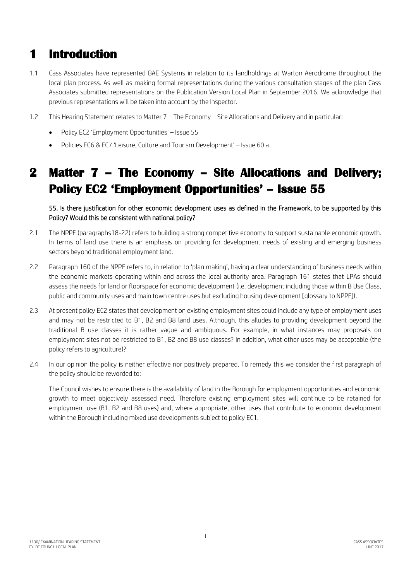### **1 Introduction**

- 1.1 Cass Associates have represented BAE Systems in relation to its landholdings at Warton Aerodrome throughout the local plan process. As well as making formal representations during the various consultation stages of the plan Cass Associates submitted representations on the Publication Version Local Plan in September 2016. We acknowledge that previous representations will be taken into account by the Inspector.
- 1.2 This Hearing Statement relates to Matter 7 The Economy Site Allocations and Delivery and in particular:
	- Policy EC2 'Employment Opportunities' Issue 55
	- Policies EC6 & EC7 'Leisure, Culture and Tourism Development' Issue 60 a

## **2 Matter 7 – The Economy – Site Allocations and Delivery; Policy EC2 'Employment Opportunities' – Issue 55**

55. Is there justification for other economic development uses as defined in the Framework, to be supported by this Policy? Would this be consistent with national policy?

- 2.1 The NPPF (paragraphs18-22) refers to building a strong competitive economy to support sustainable economic growth. In terms of land use there is an emphasis on providing for development needs of existing and emerging business sectors beyond traditional employment land.
- 2.2 Paragraph 160 of the NPPF refers to, in relation to 'plan making', having a clear understanding of business needs within the economic markets operating within and across the local authority area. Paragraph 161 states that LPAs should assess the needs for land or floorspace for economic development (i.e. development including those within B Use Class, public and community uses and main town centre uses but excluding housing development [glossary to NPPF]).
- 2.3 At present policy EC2 states that development on existing employment sites could include any type of employment uses and may not be restricted to B1, B2 and B8 land uses. Although, this alludes to providing development beyond the traditional B use classes it is rather vague and ambiguous. For example, in what instances may proposals on employment sites not be restricted to B1, B2 and B8 use classes? In addition, what other uses may be acceptable (the policy refers to agriculture)?
- 2.4 In our opinion the policy is neither effective nor positively prepared. To remedy this we consider the first paragraph of the policy should be reworded to:

The Council wishes to ensure there is the availability of land in the Borough for employment opportunities and economic growth to meet objectively assessed need. Therefore existing employment sites will continue to be retained for employment use (B1, B2 and B8 uses) and, where appropriate, other uses that contribute to economic development within the Borough including mixed use developments subject to policy EC1.